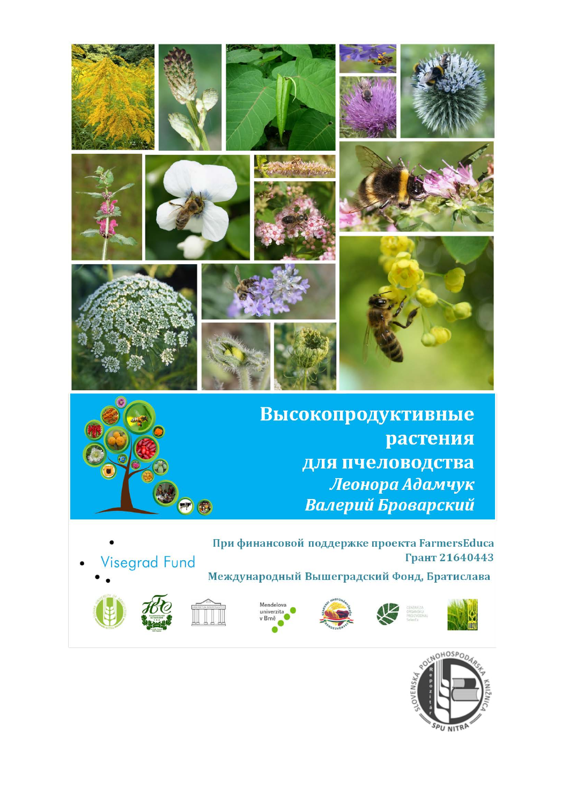



Высокопродуктивные растения для пчеловодства Леонора Адамчук Валерий Броварский

**Visegrad Fund** 

При финансовой поддержке проекта FarmersEduca Грант 21640443

Международный Вышеградский Фонд, Братислава















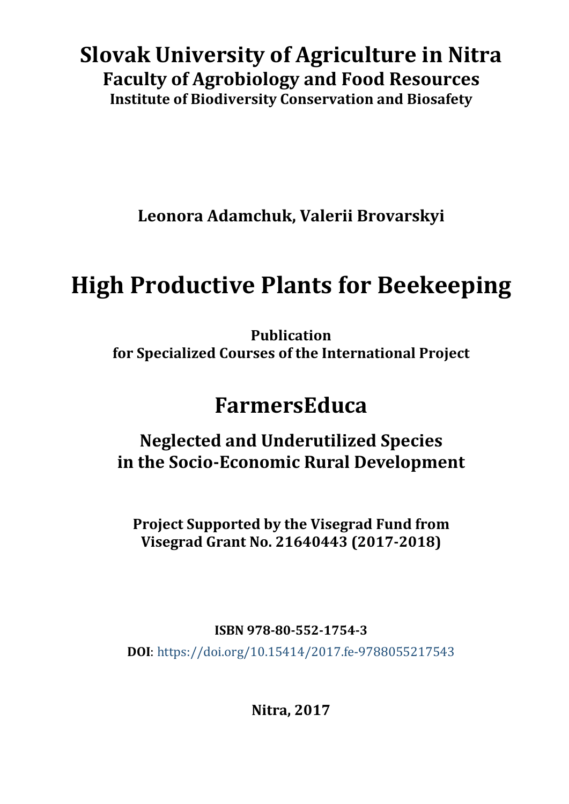## **Slovak University of Agriculture in Nitra Faculty of Agrobiology and Food Resources Institute of Biodiversity Conservation and Biosafety**

**Leonora Adamchuk, Valerii Brovarskyi**

# **High Productive Plants for Beekeeping**

**Publication for Specialized Courses of the International Project**

## **FarmersEduca**

**Neglected and Underutilized Species in the Socio-Economic Rural Development**

**Project Supported by the Visegrad Fund from Visegrad Grant No. 21640443 (2017-2018)**

**ISBN 978-80-552-1754-3**

**DOI**:<https://doi.org/10.15414/2017.fe-9788055217543>

**Nitra, 2017**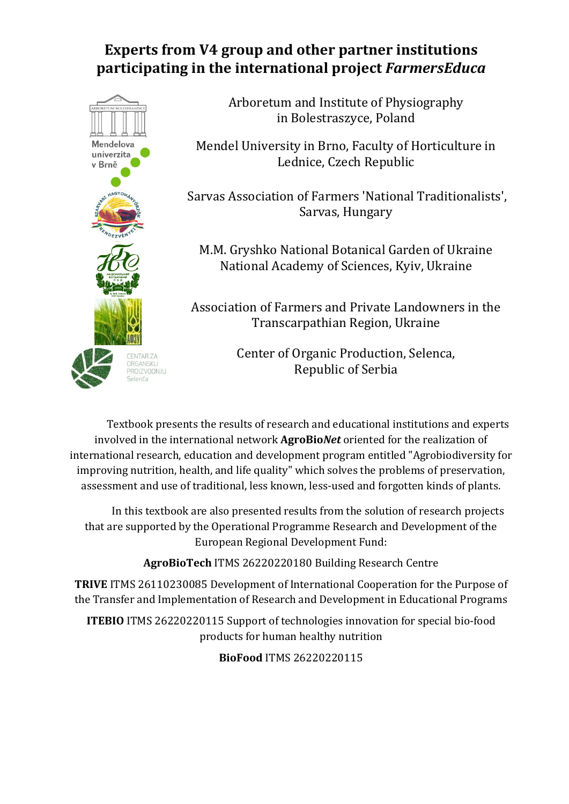### **Experts from V4 group and other partner institutions participating in the international project** *FarmersEduca*



Arboretum and Institute of Physiography in Bolestraszyce, Poland

Mendel University in Brno, Faculty of Horticulture in Lednice, Czech Republic

Sarvas Association of Farmers 'National Traditionalists', Sarvas, Hungary

M.M. Gryshko National Botanical Garden of Ukraine National Academy of Sciences, Kyiv, Ukraine

Association of Farmers and Private Landowners in the Transcarpathian Region, Ukraine

> Center of Organic Production, Selenca, Republic of Serbia

Textbook presents the results of research and educational institutions and experts involved in the international network **AgroBio***Net* oriented for the realization of international research, education and development program entitled "Agrobiodiversity for improving nutrition, health, and life quality" which solves the problems of preservation, assessment and use of traditional, less known, less-used and forgotten kinds of plants.

In this textbook are also presented results from the solution of research projects that are supported by the Operational Programme Research and Development of the European Regional Development Fund:

**AgroBioTech** ITMS 26220220180 Building Research Centre

**TRIVE** ITMS 26110230085 Development of International Cooperation for the Purpose of the Transfer and Implementation of Research and Development in Educational Programs

**ITEBIO** ITMS 26220220115 Support of technologies innovation for special bio-food products for human healthy nutrition

**BioFood** ITMS 26220220115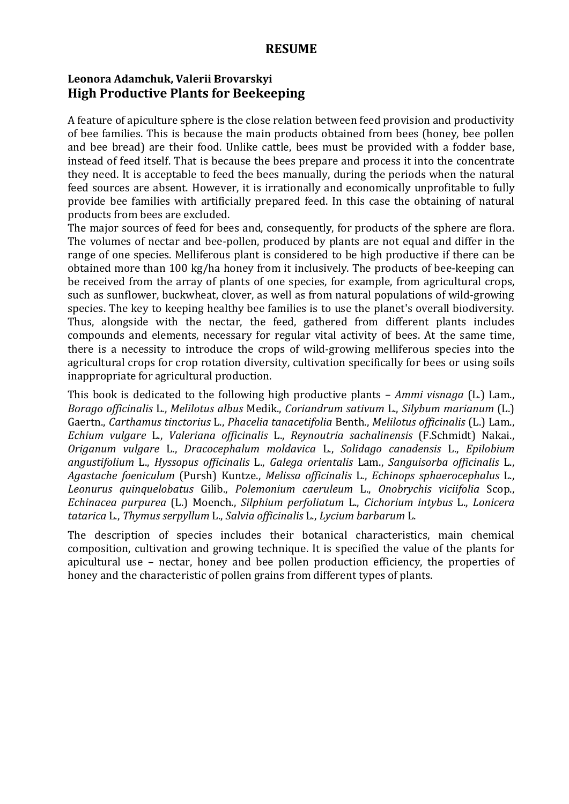#### **RESUME**

#### **Leonora Adamchuk, Valerii Brovarskyi High Productive Plants for Beekeeping**

A feature of apiculture sphere is the close relation between feed provision and productivity of bee families. This is because the main products obtained from bees (honey, bee pollen and bee bread) are their food. Unlike cattle, bees must be provided with a fodder base, instead of feed itself. That is because the bees prepare and process it into the concentrate they need. It is acceptable to feed the bees manually, during the periods when the natural feed sources are absent. However, it is irrationally and economically unprofitable to fully provide bee families with artificially prepared feed. In this case the obtaining of natural products from bees are excluded.

The major sources of feed for bees and, consequently, for products of the sphere are flora. The volumes of nectar and bee-pollen, produced by plants are not equal and differ in the range of one species. Melliferous plant is considered to be high productive if there can be obtained more than 100 kg/ha honey from it inclusively. The products of bee-keeping can be received from the array of plants of one species, for example, from agricultural crops, such as sunflower, buckwheat, clover, as well as from natural populations of wild-growing species. The key to keeping healthy bee families is to use the planet's overall biodiversity. Thus, alongside with the nectar, the feed, gathered from different plants includes compounds and elements, necessary for regular vital activity of bees. At the same time, there is a necessity to introduce the crops of wild-growing melliferous species into the agricultural crops for crop rotation diversity, cultivation specifically for bees or using soils inappropriate for agricultural production.

This book is dedicated to the following high productive plants – *Ammi visnaga* (L.) Lam., *Borago officinalis* L., *Melilotus albus* Medik., *Coriandrum sativum* L., *Silybum marianum* (L.) Gaertn., *Carthamus tinctorius* L., *Phacelia tanacetifolia* Benth., *Melilotus officinalis* (L.) Lam., *Echium vulgare* L., *Valeriana officinalis* L., *Reynoutria sachalinensis* (F.Schmidt) Nakai., *Origanum vulgare* L., *Dracocephalum moldavica* L., *Solidago canadensis* L., *Epilobium angustifolium* L., *Hyssopus officinalis* L., *Galega orientalis* Lam., *Sanguisorba officinalis* L., *Agastache foeniculum* (Pursh) Kuntze., *Melissa officinalis* L., *Echinops sphaerocephalus* L., *Leonurus quinquelobatus* Gilib., *Polemonium caeruleum* L., *Onobrychis viciifolia* Scop., *Echinacea purpurea* (L.) Moench., *Silphium perfoliatum* L., *Cichorium intybus* L., *Lonicera tatarica* L., *Thymus serpyllum* L., *Salvia officinalis* L., *Lycium barbarum* L.

The description of species includes their botanical characteristics, main chemical composition, cultivation and growing technique. It is specified the value of the plants for apicultural use – nectar, honey and bee pollen production efficiency, the properties of honey and the characteristic of pollen grains from different types of plants.